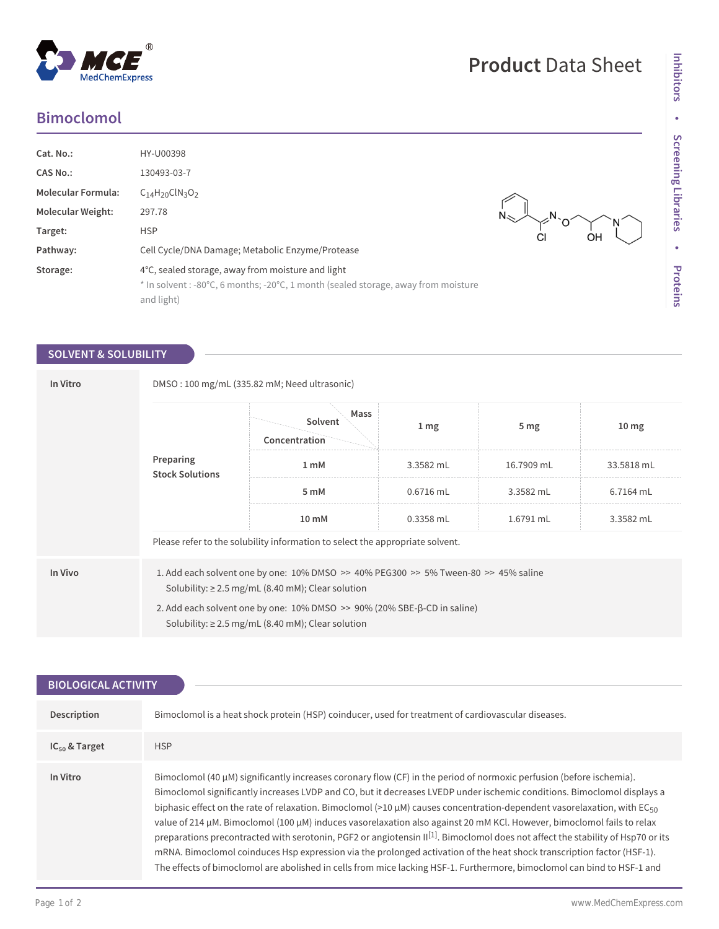$^\circledR$ 

MedChemExpress

| <b>Bimoclomol</b> |  |  |  |  |
|-------------------|--|--|--|--|
|                   |  |  |  |  |

| Cat. No.:<br><b>CAS No.:</b><br><b>Molecular Formula:</b><br>Molecular Weight:<br>Target:<br>Pathway: | HY-U00398<br>130493-03-7<br>$C_{14}H_{20}CIN_{3}O_{2}$<br>297.78<br><b>HSP</b><br>Cell Cycle/DNA Damage; Metabolic Enzyme/Protease                    | СI |
|-------------------------------------------------------------------------------------------------------|-------------------------------------------------------------------------------------------------------------------------------------------------------|----|
| Storage:                                                                                              | 4°C, sealed storage, away from moisture and light<br>* In solvent : -80°C, 6 months; -20°C, 1 month (sealed storage, away from moisture<br>and light) |    |

## **SOLVENT & SOLUBILITY**

| In Vitro | DMSO: 100 mg/mL (335.82 mM; Need ultrasonic)                                                                                                                 |                                  |                  |                 |                  |  |
|----------|--------------------------------------------------------------------------------------------------------------------------------------------------------------|----------------------------------|------------------|-----------------|------------------|--|
|          | Preparing<br><b>Stock Solutions</b>                                                                                                                          | Mass<br>Solvent<br>Concentration | $1 \, \text{mg}$ | 5 <sub>mg</sub> | 10 <sub>mg</sub> |  |
|          |                                                                                                                                                              | 1 mM                             | 3.3582 mL        | 16.7909 mL      | 33.5818 mL       |  |
|          |                                                                                                                                                              | 5 mM                             | $0.6716$ mL      | 3.3582 mL       | 6.7164 mL        |  |
|          |                                                                                                                                                              | 10 mM                            | 0.3358 mL        | 1.6791 mL       | 3.3582 mL        |  |
|          | Please refer to the solubility information to select the appropriate solvent.                                                                                |                                  |                  |                 |                  |  |
| In Vivo  | 1. Add each solvent one by one: $10\%$ DMSO $\geq$ 40% PEG300 $\geq$ 5% Tween-80 $\geq$ 45% saline<br>Solubility: $\geq$ 2.5 mg/mL (8.40 mM); Clear solution |                                  |                  |                 |                  |  |
|          | 2. Add each solvent one by one: $10\%$ DMSO $\geq$ 90% (20% SBE- $\beta$ -CD in saline)<br>Solubility: $\geq$ 2.5 mg/mL (8.40 mM); Clear solution            |                                  |                  |                 |                  |  |

| <b>BIOLOGICAL ACTIVITY</b> |                                                                                                                                                                                                                                                                                                                                                                                                                                                                                                                                                                                                                                                                                                                                                                                                                                                                                                                                |  |  |  |
|----------------------------|--------------------------------------------------------------------------------------------------------------------------------------------------------------------------------------------------------------------------------------------------------------------------------------------------------------------------------------------------------------------------------------------------------------------------------------------------------------------------------------------------------------------------------------------------------------------------------------------------------------------------------------------------------------------------------------------------------------------------------------------------------------------------------------------------------------------------------------------------------------------------------------------------------------------------------|--|--|--|
|                            |                                                                                                                                                                                                                                                                                                                                                                                                                                                                                                                                                                                                                                                                                                                                                                                                                                                                                                                                |  |  |  |
| Description                | Bimoclomol is a heat shock protein (HSP) coinducer, used for treatment of cardiovascular diseases.                                                                                                                                                                                                                                                                                                                                                                                                                                                                                                                                                                                                                                                                                                                                                                                                                             |  |  |  |
| $IC_{50}$ & Target         | <b>HSP</b>                                                                                                                                                                                                                                                                                                                                                                                                                                                                                                                                                                                                                                                                                                                                                                                                                                                                                                                     |  |  |  |
| In Vitro                   | Bimoclomol (40 $\mu$ M) significantly increases coronary flow (CF) in the period of normoxic perfusion (before ischemia).<br>Bimoclomol significantly increases LVDP and CO, but it decreases LVEDP under ischemic conditions. Bimoclomol displays a<br>biphasic effect on the rate of relaxation. Bimoclomol (>10 $\mu$ M) causes concentration-dependent vasorelaxation, with EC <sub>50</sub><br>value of 214 µM. Bimoclomol (100 µM) induces vasorelaxation also against 20 mM KCl. However, bimoclomol fails to relax<br>preparations precontracted with serotonin, PGF2 or angiotensin II <sup>[1]</sup> . Bimoclomol does not affect the stability of Hsp70 or its<br>mRNA. Bimoclomol coinduces Hsp expression via the prolonged activation of the heat shock transcription factor (HSF-1).<br>The effects of bimoclomol are abolished in cells from mice lacking HSF-1. Furthermore, bimoclomol can bind to HSF-1 and |  |  |  |